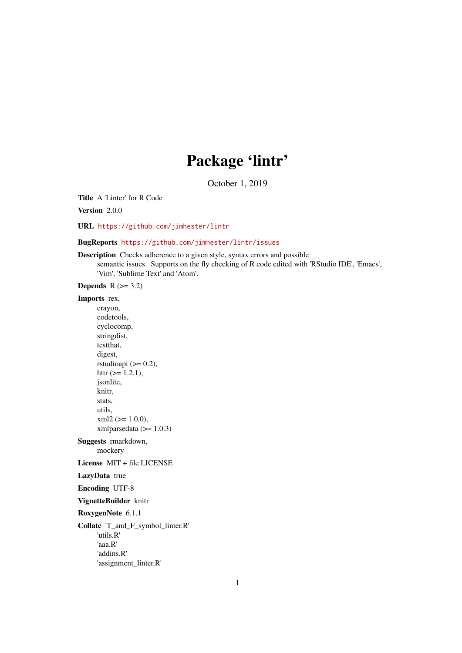## Package 'lintr'

October 1, 2019

<span id="page-0-0"></span>Title A 'Linter' for R Code

Version 2.0.0

URL <https://github.com/jimhester/lintr>

#### BugReports <https://github.com/jimhester/lintr/issues>

Description Checks adherence to a given style, syntax errors and possible semantic issues. Supports on the fly checking of R code edited with 'RStudio IDE', 'Emacs', 'Vim', 'Sublime Text' and 'Atom'.

Depends  $R$  ( $>= 3.2$ )

#### Imports rex,

crayon, codetools, cyclocomp, stringdist, testthat, digest, rstudioapi  $(>= 0.2)$ , httr  $(>= 1.2.1)$ , jsonlite, knitr, stats, utils,  $xml2 (= 1.0.0),$ xmlparsedata  $(>= 1.0.3)$ 

Suggests rmarkdown, mockery

License MIT + file LICENSE

#### LazyData true

Encoding UTF-8

VignetteBuilder knitr

RoxygenNote 6.1.1

Collate 'T\_and\_F\_symbol\_linter.R' 'utils.R' 'aaa.R' 'addins.R' 'assignment\_linter.R'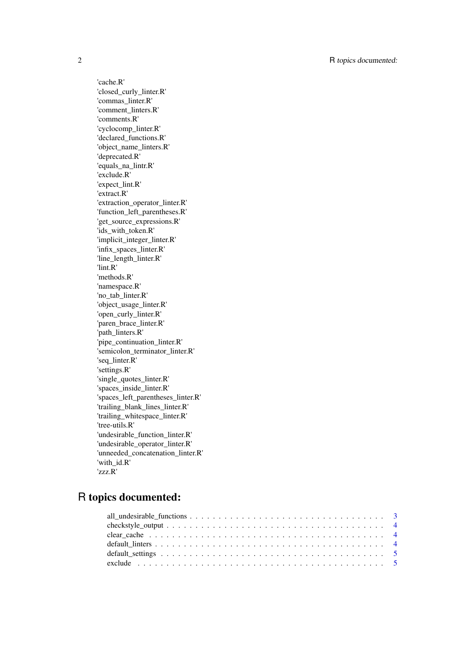'cache.R' 'closed\_curly\_linter.R' 'commas\_linter.R' 'comment\_linters.R' 'comments.R' 'cyclocomp\_linter.R' 'declared\_functions.R' 'object\_name\_linters.R' 'deprecated.R' 'equals\_na\_lintr.R' 'exclude.R' 'expect\_lint.R' 'extract.R' 'extraction\_operator\_linter.R' 'function\_left\_parentheses.R' 'get\_source\_expressions.R' 'ids\_with\_token.R' 'implicit\_integer\_linter.R' 'infix\_spaces\_linter.R' 'line\_length\_linter.R' 'lint.R' 'methods.R' 'namespace.R' 'no\_tab\_linter.R' 'object\_usage\_linter.R' 'open\_curly\_linter.R' 'paren\_brace\_linter.R' 'path\_linters.R' 'pipe\_continuation\_linter.R' 'semicolon\_terminator\_linter.R' 'seq\_linter.R' 'settings.R' 'single\_quotes\_linter.R' 'spaces\_inside\_linter.R' 'spaces\_left\_parentheses\_linter.R' 'trailing\_blank\_lines\_linter.R' 'trailing\_whitespace\_linter.R' 'tree-utils.R' 'undesirable\_function\_linter.R' 'undesirable\_operator\_linter.R' 'unneeded\_concatenation\_linter.R' 'with\_id.R' 'zzz.R'

### R topics documented: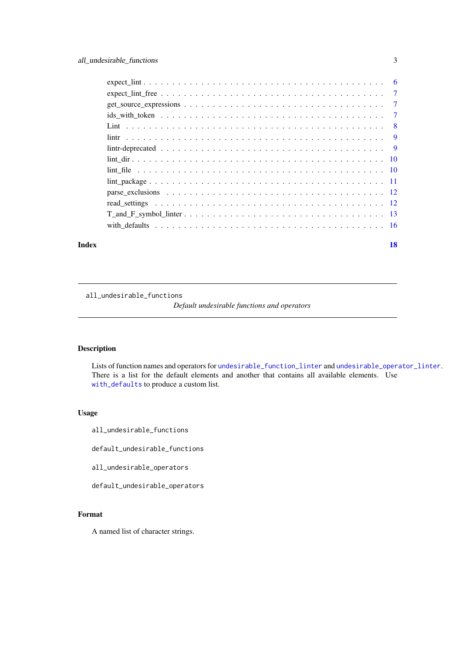<span id="page-2-0"></span>

| Index | 18 |
|-------|----|

all\_undesirable\_functions

*Default undesirable functions and operators*

#### Description

Lists of function names and operators for [undesirable\\_function\\_linter](#page-12-1) and [undesirable\\_operator\\_linter](#page-12-1). There is a list for the default elements and another that contains all available elements. Use [with\\_defaults](#page-15-1) to produce a custom list.

#### Usage

all\_undesirable\_functions

default\_undesirable\_functions

all\_undesirable\_operators

default\_undesirable\_operators

#### Format

A named list of character strings.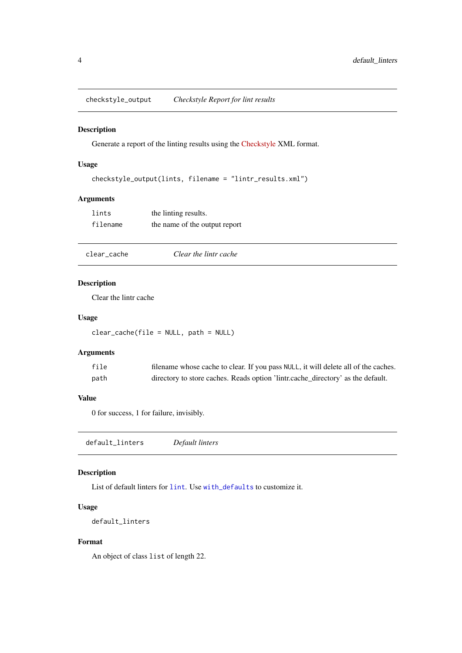<span id="page-3-0"></span>checkstyle\_output *Checkstyle Report for lint results*

#### Description

Generate a report of the linting results using the [Checkstyle](http://checkstyle.sourceforge.net/) XML format.

#### Usage

```
checkstyle_output(lints, filename = "lintr_results.xml")
```
#### Arguments

| lints    | the linting results.          |
|----------|-------------------------------|
| filename | the name of the output report |

clear\_cache *Clear the lintr cache*

#### Description

Clear the lintr cache

#### Usage

clear\_cache(file = NULL, path = NULL)

#### Arguments

| file | filename whose cache to clear. If you pass NULL, it will delete all of the caches. |
|------|------------------------------------------------------------------------------------|
| path | directory to store caches. Reads option 'lintr.cache_directory' as the default.    |

#### Value

0 for success, 1 for failure, invisibly.

<span id="page-3-1"></span>default\_linters *Default linters*

#### Description

List of default linters for [lint](#page-9-1). Use [with\\_defaults](#page-15-1) to customize it.

#### Usage

default\_linters

#### Format

An object of class list of length 22.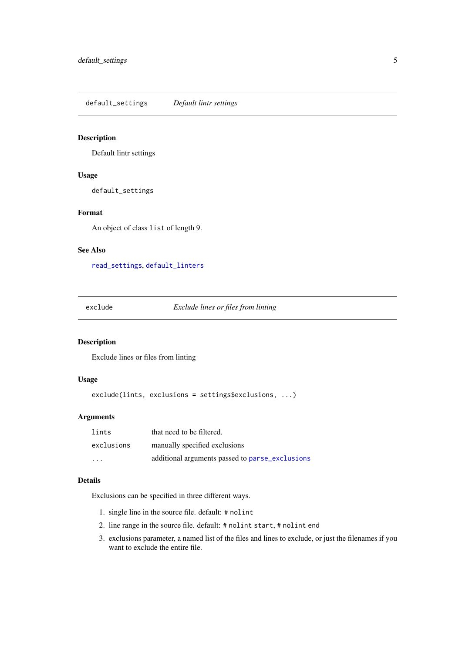<span id="page-4-2"></span><span id="page-4-0"></span>default\_settings *Default lintr settings*

#### Description

Default lintr settings

#### Usage

default\_settings

#### Format

An object of class list of length 9.

#### See Also

[read\\_settings](#page-11-1), [default\\_linters](#page-3-1)

<span id="page-4-1"></span>exclude *Exclude lines or files from linting*

#### Description

Exclude lines or files from linting

#### Usage

exclude(lints, exclusions = settings\$exclusions, ...)

#### Arguments

| lints                   | that need to be filtered.                       |
|-------------------------|-------------------------------------------------|
| exclusions              | manually specified exclusions                   |
| $\cdot$ $\cdot$ $\cdot$ | additional arguments passed to parse_exclusions |

#### Details

Exclusions can be specified in three different ways.

- 1. single line in the source file. default: # nolint
- 2. line range in the source file. default: # nolint start, # nolint end
- 3. exclusions parameter, a named list of the files and lines to exclude, or just the filenames if you want to exclude the entire file.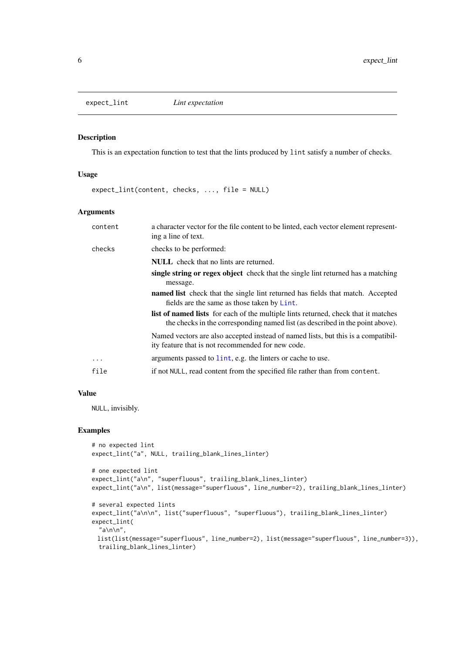<span id="page-5-0"></span>

#### Description

This is an expectation function to test that the lints produced by lint satisfy a number of checks.

#### Usage

expect\_lint(content, checks, ..., file = NULL)

#### Arguments

| content | a character vector for the file content to be linted, each vector element represent-<br>ing a line of text.                                                                |
|---------|----------------------------------------------------------------------------------------------------------------------------------------------------------------------------|
| checks  | checks to be performed:                                                                                                                                                    |
|         | <b>NULL</b> check that no lints are returned.                                                                                                                              |
|         | single string or regex object check that the single lint returned has a matching<br>message.                                                                               |
|         | <b>named list</b> check that the single lint returned has fields that match. Accepted<br>fields are the same as those taken by Lint.                                       |
|         | <b>list of named lists</b> for each of the multiple lints returned, check that it matches<br>the checks in the corresponding named list (as described in the point above). |
|         | Named vectors are also accepted instead of named lists, but this is a compatibil-<br>ity feature that is not recommended for new code.                                     |
| .       | arguments passed to lint, e.g. the linters or cache to use.                                                                                                                |
| file    | if not NULL, read content from the specified file rather than from content.                                                                                                |
|         |                                                                                                                                                                            |

#### Value

NULL, invisibly.

#### Examples

```
# no expected lint
expect_lint("a", NULL, trailing_blank_lines_linter)
# one expected lint
expect_lint("a\n", "superfluous", trailing_blank_lines_linter)
expect_lint("a\n", list(message="superfluous", line_number=2), trailing_blank_lines_linter)
# several expected lints
expect_lint("a\n\n", list("superfluous", "superfluous"), trailing_blank_lines_linter)
expect_lint(
  "a\h|n',
 list(list(message="superfluous", line_number=2), list(message="superfluous", line_number=3)),
 trailing_blank_lines_linter)
```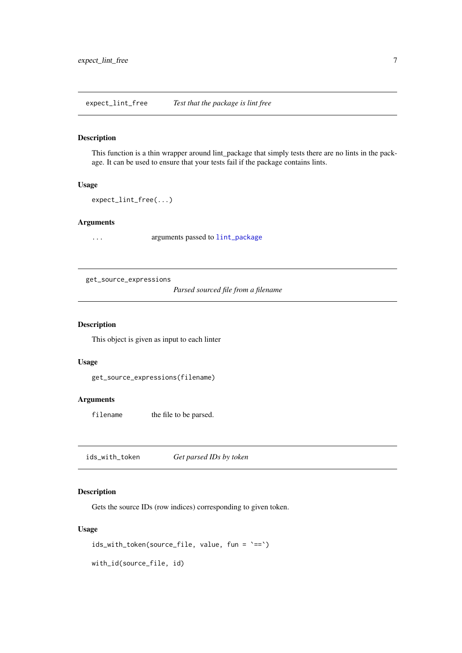<span id="page-6-0"></span>expect\_lint\_free *Test that the package is lint free*

#### Description

This function is a thin wrapper around lint\_package that simply tests there are no lints in the package. It can be used to ensure that your tests fail if the package contains lints.

#### Usage

expect\_lint\_free(...)

#### Arguments

... arguments passed to [lint\\_package](#page-10-1)

<span id="page-6-1"></span>get\_source\_expressions

*Parsed sourced file from a filename*

#### Description

This object is given as input to each linter

#### Usage

get\_source\_expressions(filename)

#### Arguments

filename the file to be parsed.

ids\_with\_token *Get parsed IDs by token*

#### Description

Gets the source IDs (row indices) corresponding to given token.

#### Usage

```
ids_with_token(source_file, value, fun = `==`)
```
with\_id(source\_file, id)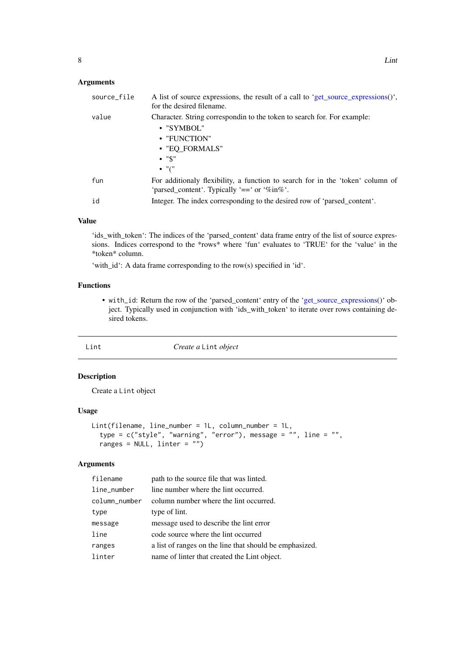#### <span id="page-7-0"></span>Arguments

| source_file | A list of source expressions, the result of a call to 'get_source_expressions()',<br>for the desired filename.                                             |
|-------------|------------------------------------------------------------------------------------------------------------------------------------------------------------|
| value       | Character. String correspondin to the token to search for. For example:<br>• "SYMBOL"<br>• "FUNCTION"<br>• "EQ FORMALS"<br>$\bullet$ "\$"<br>$\bullet$ "(" |
| fun         | For additionaly flexibility, a function to search for in the 'token' column of<br>'parsed_content'. Typically '==' or '%in%'.                              |
| id          | Integer. The index corresponding to the desired row of 'parsed_content'.                                                                                   |

### Value

'ids\_with\_token': The indices of the 'parsed\_content' data frame entry of the list of source expressions. Indices correspond to the \*rows\* where 'fun' evaluates to 'TRUE' for the 'value' in the \*token\* column.

'with\_id': A data frame corresponding to the row(s) specified in 'id'.

#### Functions

• with\_id: Return the row of the 'parsed\_content' entry of the ['get\\_source\\_expressions\(](#page-6-1))' object. Typically used in conjunction with 'ids\_with\_token' to iterate over rows containing desired tokens.

<span id="page-7-1"></span>

#### Lint *Create a* Lint *object*

#### Description

Create a Lint object

#### Usage

```
Lint(filename, line_number = 1L, column_number = 1L,
  type = c("style", "warning", "error"), message = "", line = "",
  ranges = NULL, linter = "")
```
#### Arguments

| filename      | path to the source file that was linted.                |
|---------------|---------------------------------------------------------|
| line_number   | line number where the lint occurred.                    |
| column number | column number where the lint occurred.                  |
| type          | type of lint.                                           |
| message       | message used to describe the lint error                 |
| line          | code source where the lint occurred                     |
| ranges        | a list of ranges on the line that should be emphasized. |
| linter        | name of linter that created the Lint object.            |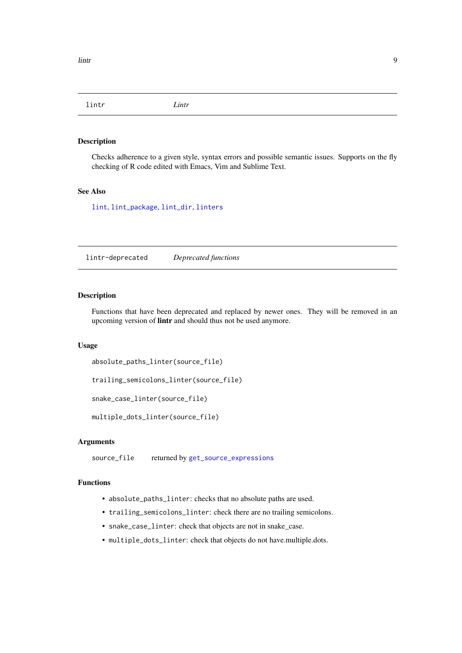<span id="page-8-0"></span>lintr *Lintr*

#### Description

Checks adherence to a given style, syntax errors and possible semantic issues. Supports on the fly checking of R code edited with Emacs, Vim and Sublime Text.

#### See Also

[lint](#page-9-1), [lint\\_package](#page-10-1), [lint\\_dir](#page-9-2), [linters](#page-12-1)

lintr-deprecated *Deprecated functions*

#### Description

Functions that have been deprecated and replaced by newer ones. They will be removed in an upcoming version of lintr and should thus not be used anymore.

#### Usage

```
absolute_paths_linter(source_file)
```

```
trailing_semicolons_linter(source_file)
```
snake\_case\_linter(source\_file)

multiple\_dots\_linter(source\_file)

#### Arguments

source\_file returned by [get\\_source\\_expressions](#page-6-1)

#### Functions

- absolute\_paths\_linter: checks that no absolute paths are used.
- trailing\_semicolons\_linter: check there are no trailing semicolons.
- snake\_case\_linter: check that objects are not in snake\_case.
- multiple\_dots\_linter: check that objects do not have.multiple.dots.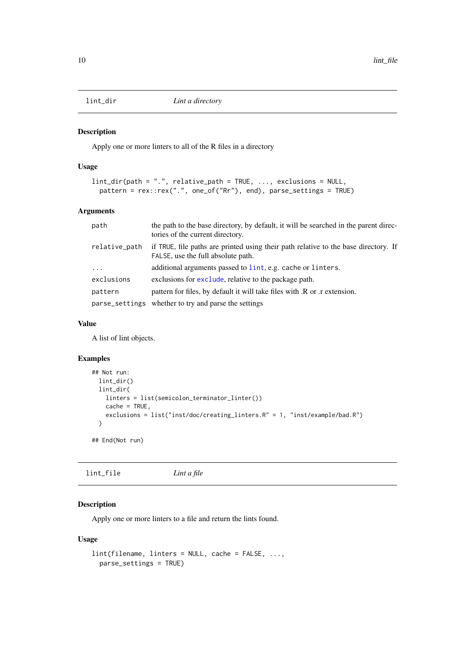<span id="page-9-2"></span><span id="page-9-0"></span>

#### Description

Apply one or more linters to all of the R files in a directory

#### Usage

```
lint_dir(path = ".", relative_path = TRUE, ..., exclusions = NULL,
 pattern = rex::rex(".", one_of("Rr"), end), parse_settings = TRUE)
```
#### Arguments

| path          | the path to the base directory, by default, it will be searched in the parent direc-<br>tories of the current directory.  |
|---------------|---------------------------------------------------------------------------------------------------------------------------|
| relative_path | if TRUE, file paths are printed using their path relative to the base directory. If<br>FALSE, use the full absolute path. |
| $\ddots$      | additional arguments passed to lint, e.g. cache or linters.                                                               |
| exclusions    | exclusions for exclude, relative to the package path.                                                                     |
| pattern       | pattern for files, by default it will take files with .R or .r extension.                                                 |
|               | parse_settings whether to try and parse the settings                                                                      |

#### Value

A list of lint objects.

#### Examples

```
## Not run:
 lint_dir()
  lint_dir(
   linters = list(semicolon_terminator_linter())
    cache = TRUE,
    exclusions = list("inst/doc/creating_linters.R" = 1, "inst/example/bad.R")
  )
## End(Not run)
```
lint\_file *Lint a file*

#### <span id="page-9-1"></span>Description

Apply one or more linters to a file and return the lints found.

#### Usage

```
lint(filename, linters = NULL, cache = FALSE, ...,
 parse_settings = TRUE)
```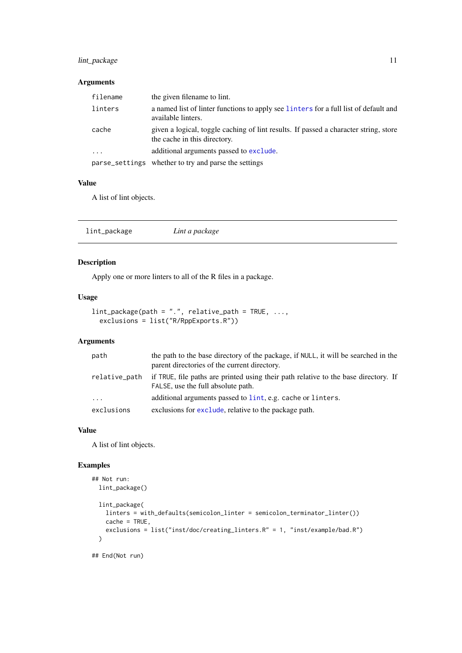#### <span id="page-10-0"></span>lint\_package 11

#### Arguments

| filename  | the given filename to lint.                                                                                          |
|-----------|----------------------------------------------------------------------------------------------------------------------|
| linters   | a named list of linter functions to apply see linters for a full list of default and<br>available linters.           |
| cache     | given a logical, toggle caching of lint results. If passed a character string, store<br>the cache in this directory. |
| $\ddotsc$ | additional arguments passed to exclude.                                                                              |
|           | parse_settings whether to try and parse the settings                                                                 |

#### Value

A list of lint objects.

<span id="page-10-1"></span>

| lint_package<br>Lint a package |
|--------------------------------|
|--------------------------------|

#### Description

Apply one or more linters to all of the R files in a package.

#### Usage

```
lint\_package(path = ".", relative\_path = TRUE, ...,exclusions = list("R/RppExports.R"))
```
#### Arguments

| path          | the path to the base directory of the package, if NULL, it will be searched in the<br>parent directories of the current directory. |
|---------------|------------------------------------------------------------------------------------------------------------------------------------|
| relative_path | if TRUE, file paths are printed using their path relative to the base directory. If<br>FALSE, use the full absolute path.          |
| $\ddots$      | additional arguments passed to lint, e.g. cache or linters.                                                                        |
| exclusions    | exclusions for exclude, relative to the package path.                                                                              |

#### Value

A list of lint objects.

#### Examples

```
## Not run:
 lint_package()
  lint_package(
    linters = with_defaults(semicolon_linter = semicolon_terminator_linter())
    cache = TRUE,
    exclusions = list("inst/doc/creating_linters.R" = 1, "inst/example/bad.R")
  \overline{\phantom{a}}## End(Not run)
```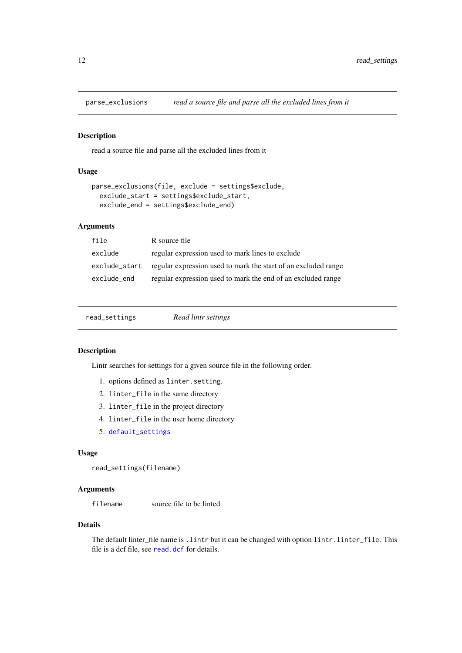<span id="page-11-2"></span><span id="page-11-0"></span>

#### Description

read a source file and parse all the excluded lines from it

#### Usage

```
parse_exclusions(file, exclude = settings$exclude,
  exclude_start = settings$exclude_start,
 exclude_end = settings$exclude_end)
```
#### Arguments

| file        | R source file                                                                |
|-------------|------------------------------------------------------------------------------|
| exclude     | regular expression used to mark lines to exclude                             |
|             | exclude_start regular expression used to mark the start of an excluded range |
| exclude_end | regular expression used to mark the end of an excluded range                 |

<span id="page-11-1"></span>

| read_settings | Read lintr settings |  |
|---------------|---------------------|--|
|               |                     |  |

#### Description

Lintr searches for settings for a given source file in the following order.

- 1. options defined as linter.setting.
- 2. linter\_file in the same directory
- 3. linter\_file in the project directory
- 4. linter\_file in the user home directory
- 5. [default\\_settings](#page-4-2)

#### Usage

```
read_settings(filename)
```
#### Arguments

filename source file to be linted

#### Details

The default linter\_file name is .lintr but it can be changed with option lintr.linter\_file. This file is a dcf file, see [read.dcf](#page-0-0) for details.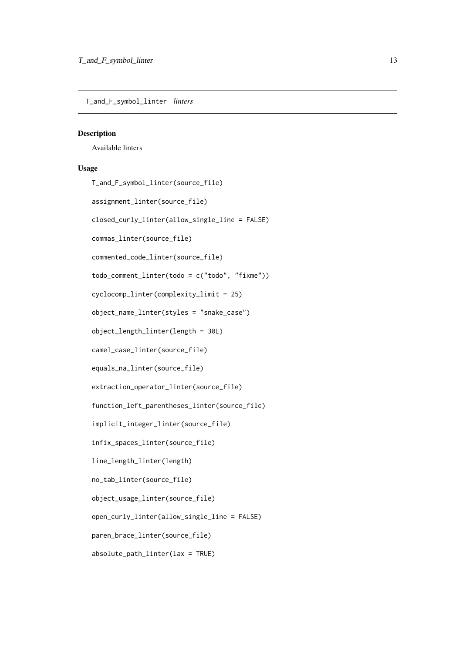<span id="page-12-0"></span>T\_and\_F\_symbol\_linter *linters*

#### <span id="page-12-1"></span>Description

Available linters

#### Usage

T\_and\_F\_symbol\_linter(source\_file)

```
assignment_linter(source_file)
```
closed\_curly\_linter(allow\_single\_line = FALSE)

commas\_linter(source\_file)

commented\_code\_linter(source\_file)

todo\_comment\_linter(todo = c("todo", "fixme"))

cyclocomp\_linter(complexity\_limit = 25)

object\_name\_linter(styles = "snake\_case")

object\_length\_linter(length = 30L)

camel\_case\_linter(source\_file)

equals\_na\_linter(source\_file)

extraction\_operator\_linter(source\_file)

function\_left\_parentheses\_linter(source\_file)

```
implicit_integer_linter(source_file)
```
infix\_spaces\_linter(source\_file)

line\_length\_linter(length)

no\_tab\_linter(source\_file)

object\_usage\_linter(source\_file)

open\_curly\_linter(allow\_single\_line = FALSE)

paren\_brace\_linter(source\_file)

absolute\_path\_linter(lax = TRUE)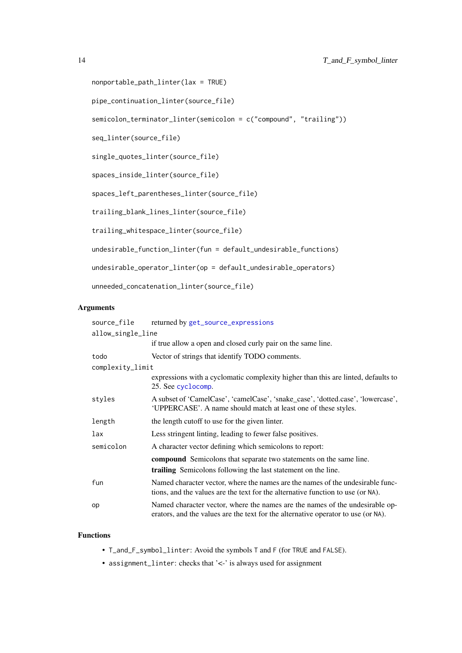```
nonportable_path_linter(lax = TRUE)
```
pipe\_continuation\_linter(source\_file)

semicolon\_terminator\_linter(semicolon = c("compound", "trailing"))

seq\_linter(source\_file)

single\_quotes\_linter(source\_file)

spaces\_inside\_linter(source\_file)

spaces\_left\_parentheses\_linter(source\_file)

trailing\_blank\_lines\_linter(source\_file)

trailing\_whitespace\_linter(source\_file)

undesirable\_function\_linter(fun = default\_undesirable\_functions)

undesirable\_operator\_linter(op = default\_undesirable\_operators)

unneeded\_concatenation\_linter(source\_file)

#### Arguments

| source_file       | returned by get_source_expressions                                                                                                                                |  |  |  |
|-------------------|-------------------------------------------------------------------------------------------------------------------------------------------------------------------|--|--|--|
| allow_single_line |                                                                                                                                                                   |  |  |  |
|                   | if true allow a open and closed curly pair on the same line.                                                                                                      |  |  |  |
| todo              | Vector of strings that identify TODO comments.                                                                                                                    |  |  |  |
| complexity_limit  |                                                                                                                                                                   |  |  |  |
|                   | expressions with a cyclomatic complexity higher than this are linted, defaults to<br>25. See cyclocomp.                                                           |  |  |  |
| styles            | A subset of 'CamelCase', 'camelCase', 'snake_case', 'dotted.case', 'lowercase',<br>'UPPERCASE'. A name should match at least one of these styles.                 |  |  |  |
| length            | the length cutoff to use for the given linter.                                                                                                                    |  |  |  |
| lax               | Less stringent linting, leading to fewer false positives.                                                                                                         |  |  |  |
| semicolon         | A character vector defining which semicolons to report:                                                                                                           |  |  |  |
|                   | <b>compound</b> Semicolons that separate two statements on the same line.<br>trailing Semicolons following the last statement on the line.                        |  |  |  |
| fun               | Named character vector, where the names are the names of the undesirable func-<br>tions, and the values are the text for the alternative function to use (or NA). |  |  |  |
| op                | Named character vector, where the names are the names of the undesirable op-<br>erators, and the values are the text for the alternative operator to use (or NA). |  |  |  |

#### Functions

- T\_and\_F\_symbol\_linter: Avoid the symbols T and F (for TRUE and FALSE).
- assignment\_linter: checks that '<-' is always used for assignment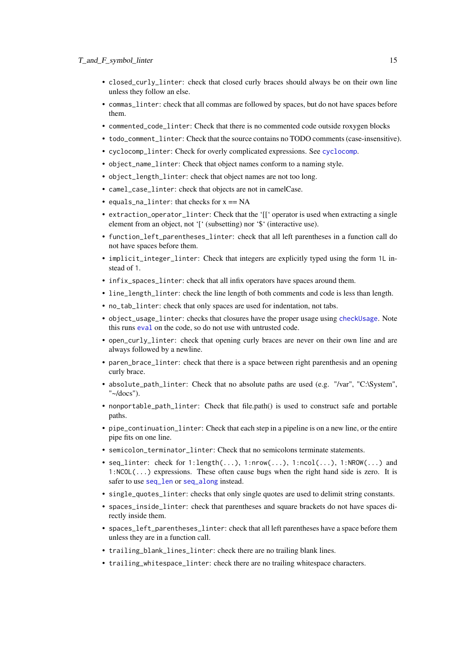- <span id="page-14-0"></span>• closed\_curly\_linter: check that closed curly braces should always be on their own line unless they follow an else.
- commas\_linter: check that all commas are followed by spaces, but do not have spaces before them.
- commented\_code\_linter: Check that there is no commented code outside roxygen blocks
- todo\_comment\_linter: Check that the source contains no TODO comments (case-insensitive).
- cyclocomp\_linter: Check for overly complicated expressions. See [cyclocomp](#page-0-0).
- object\_name\_linter: Check that object names conform to a naming style.
- object\_length\_linter: check that object names are not too long.
- camel\_case\_linter: check that objects are not in camelCase.
- equals\_na\_linter: that checks for  $x == NA$
- extraction\_operator\_linter: Check that the '[[' operator is used when extracting a single element from an object, not '[' (subsetting) nor '\$' (interactive use).
- function\_left\_parentheses\_linter: check that all left parentheses in a function call do not have spaces before them.
- implicit\_integer\_linter: Check that integers are explicitly typed using the form 1L instead of 1.
- infix\_spaces\_linter: check that all infix operators have spaces around them.
- line\_length\_linter: check the line length of both comments and code is less than length.
- no\_tab\_linter: check that only spaces are used for indentation, not tabs.
- object\_usage\_linter: checks that closures have the proper usage using [checkUsage](#page-0-0). Note this runs [eval](#page-0-0) on the code, so do not use with untrusted code.
- open\_curly\_linter: check that opening curly braces are never on their own line and are always followed by a newline.
- paren\_brace\_linter: check that there is a space between right parenthesis and an opening curly brace.
- absolute\_path\_linter: Check that no absolute paths are used (e.g. "/var", "C:\System", "~/docs").
- nonportable\_path\_linter: Check that file.path() is used to construct safe and portable paths.
- pipe\_continuation\_linter: Check that each step in a pipeline is on a new line, or the entire pipe fits on one line.
- semicolon\_terminator\_linter: Check that no semicolons terminate statements.
- seq\_linter: check for  $1$ :length $(...), 1$ :nrow $(...), 1$ :ncol $(...), 1$ :NROW $(...)$  and  $1:NCOL(\ldots)$  expressions. These often cause bugs when the right hand side is zero. It is safer to use [seq\\_len](#page-0-0) or [seq\\_along](#page-0-0) instead.
- single\_quotes\_linter: checks that only single quotes are used to delimit string constants.
- spaces\_inside\_linter: check that parentheses and square brackets do not have spaces directly inside them.
- spaces\_left\_parentheses\_linter: check that all left parentheses have a space before them unless they are in a function call.
- trailing\_blank\_lines\_linter: check there are no trailing blank lines.
- trailing\_whitespace\_linter: check there are no trailing whitespace characters.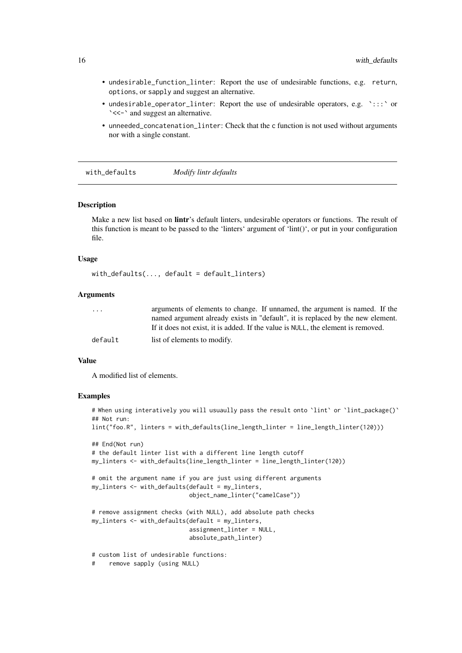- undesirable\_function\_linter: Report the use of undesirable functions, e.g. return, options, or sapply and suggest an alternative.
- undesirable\_operator\_linter: Report the use of undesirable operators, e.g. `:::` or `<<-` and suggest an alternative.
- unneeded\_concatenation\_linter: Check that the c function is not used without arguments nor with a single constant.

<span id="page-15-1"></span>with\_defaults *Modify lintr defaults*

#### Description

Make a new list based on **lintr**'s default linters, undesirable operators or functions. The result of this function is meant to be passed to the 'linters' argument of 'lint()', or put in your configuration file.

#### Usage

```
with_defaults(..., default = default_linters)
```
#### Arguments

| $\cdot$ $\cdot$ $\cdot$ | arguments of elements to change. If unnamed, the argument is named. If the       |
|-------------------------|----------------------------------------------------------------------------------|
|                         | named argument already exists in "default", it is replaced by the new element.   |
|                         | If it does not exist, it is added. If the value is NULL, the element is removed. |
| default                 | list of elements to modify.                                                      |

#### Value

A modified list of elements.

#### Examples

```
# When using interatively you will usuaully pass the result onto `lint` or `lint_package()`
## Not run:
lint("foo.R", linters = with_defaults(line_length_linter = line_length_linter(120)))
## End(Not run)
# the default linter list with a different line length cutoff
my_linters <- with_defaults(line_length_linter = line_length_linter(120))
# omit the argument name if you are just using different arguments
my_linters <- with_defaults(default = my_linters,
                            object_name_linter("camelCase"))
# remove assignment checks (with NULL), add absolute path checks
my_linters <- with_defaults(default = my_linters,
                            assignment_linter = NULL,
                            absolute_path_linter)
# custom list of undesirable functions:
# remove sapply (using NULL)
```
<span id="page-15-0"></span>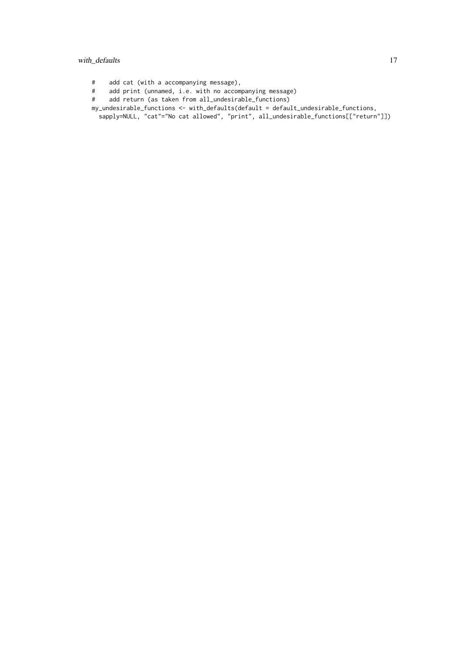#### with\_defaults 17

- # add cat (with a accompanying message),
- # add print (unnamed, i.e. with no accompanying message)<br># add return (as taken from all\_undesirable\_functions)
- add return (as taken from all\_undesirable\_functions)
- my\_undesirable\_functions <- with\_defaults(default = default\_undesirable\_functions, sapply=NULL, "cat"="No cat allowed", "print", all\_undesirable\_functions[["return"]])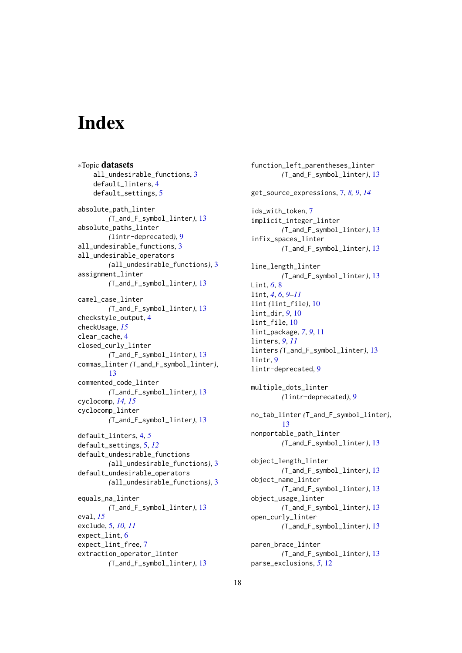# <span id="page-17-0"></span>Index

∗Topic datasets all\_undesirable\_functions, [3](#page-2-0) default\_linters, [4](#page-3-0) default\_settings, [5](#page-4-0) absolute\_path\_linter *(*T\_and\_F\_symbol\_linter*)*, [13](#page-12-0) absolute\_paths\_linter *(*lintr-deprecated*)*, [9](#page-8-0) all\_undesirable\_functions, [3](#page-2-0) all\_undesirable\_operators *(*all\_undesirable\_functions*)*, [3](#page-2-0) assignment\_linter *(*T\_and\_F\_symbol\_linter*)*, [13](#page-12-0) camel\_case\_linter *(*T\_and\_F\_symbol\_linter*)*, [13](#page-12-0) checkstyle\_output, [4](#page-3-0) checkUsage, *[15](#page-14-0)* clear\_cache, [4](#page-3-0) closed\_curly\_linter *(*T\_and\_F\_symbol\_linter*)*, [13](#page-12-0) commas\_linter *(*T\_and\_F\_symbol\_linter*)*, [13](#page-12-0) commented\_code\_linter *(*T\_and\_F\_symbol\_linter*)*, [13](#page-12-0) cyclocomp, *[14,](#page-13-0) [15](#page-14-0)* cyclocomp\_linter *(*T\_and\_F\_symbol\_linter*)*, [13](#page-12-0) default\_linters, [4,](#page-3-0) *[5](#page-4-0)* default\_settings, [5,](#page-4-0) *[12](#page-11-0)* default\_undesirable\_functions *(*all\_undesirable\_functions*)*, [3](#page-2-0) default\_undesirable\_operators *(*all\_undesirable\_functions*)*, [3](#page-2-0) equals\_na\_linter *(*T\_and\_F\_symbol\_linter*)*, [13](#page-12-0) eval, *[15](#page-14-0)* exclude, [5,](#page-4-0) *[10,](#page-9-0) [11](#page-10-0)* expect\_lint, [6](#page-5-0) expect\_lint\_free, [7](#page-6-0) extraction\_operator\_linter *(*T\_and\_F\_symbol\_linter*)*, [13](#page-12-0)

function\_left\_parentheses\_linter *(*T\_and\_F\_symbol\_linter*)*, [13](#page-12-0) get\_source\_expressions, [7,](#page-6-0) *[8,](#page-7-0) [9](#page-8-0)*, *[14](#page-13-0)* ids\_with\_token. [7](#page-6-0) implicit\_integer\_linter *(*T\_and\_F\_symbol\_linter*)*, [13](#page-12-0) infix\_spaces\_linter *(*T\_and\_F\_symbol\_linter*)*, [13](#page-12-0) line\_length\_linter *(*T\_and\_F\_symbol\_linter*)*, [13](#page-12-0) Lint, *[6](#page-5-0)*, [8](#page-7-0) lint, *[4](#page-3-0)*, *[6](#page-5-0)*, *[9](#page-8-0)[–11](#page-10-0)* lint *(*lint\_file*)*, [10](#page-9-0) lint\_dir, *[9](#page-8-0)*, [10](#page-9-0) lint\_file, [10](#page-9-0) lint\_package, *[7](#page-6-0)*, *[9](#page-8-0)*, [11](#page-10-0) linters, *[9](#page-8-0)*, *[11](#page-10-0)* linters *(*T\_and\_F\_symbol\_linter*)*, [13](#page-12-0) lintr, [9](#page-8-0) lintr-deprecated, [9](#page-8-0) multiple\_dots\_linter *(*lintr-deprecated*)*, [9](#page-8-0) no\_tab\_linter *(*T\_and\_F\_symbol\_linter*)*, [13](#page-12-0) nonportable\_path\_linter *(*T\_and\_F\_symbol\_linter*)*, [13](#page-12-0) object\_length\_linter *(*T\_and\_F\_symbol\_linter*)*, [13](#page-12-0) object\_name\_linter *(*T\_and\_F\_symbol\_linter*)*, [13](#page-12-0) object usage linter *(*T\_and\_F\_symbol\_linter*)*, [13](#page-12-0) open\_curly\_linter *(*T\_and\_F\_symbol\_linter*)*, [13](#page-12-0) paren\_brace\_linter *(*T\_and\_F\_symbol\_linter*)*, [13](#page-12-0) parse\_exclusions, *[5](#page-4-0)*, [12](#page-11-0)